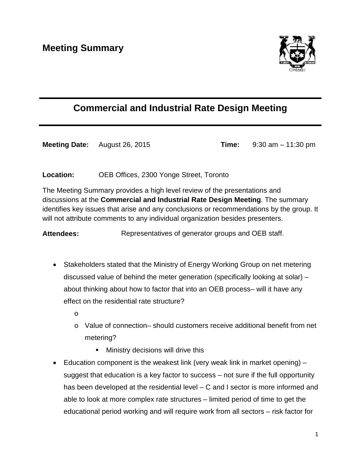

## **Commercial and Industrial Rate Design Meeting**

**Meeting Date:** August 26, 2015 **Time:** 9:30 am – 11:30 pm

**Location:** OEB Offices, 2300 Yonge Street, Toronto

The Meeting Summary provides a high level review of the presentations and discussions at the **Commercial and Industrial Rate Design Meeting**. The summary identifies key issues that arise and any conclusions or recommendations by the group. It will not attribute comments to any individual organization besides presenters.

Attendees: Representatives of generator groups and OEB staff.

- Stakeholders stated that the Ministry of Energy Working Group on net metering discussed value of behind the meter generation (specifically looking at solar) – about thinking about how to factor that into an OEB process– will it have any effect on the residential rate structure?
	- o
	- o Value of connection– should customers receive additional benefit from net metering?
		- **Ministry decisions will drive this**
- Education component is the weakest link (very weak link in market opening) suggest that education is a key factor to success – not sure if the full opportunity has been developed at the residential level – C and I sector is more informed and able to look at more complex rate structures – limited period of time to get the educational period working and will require work from all sectors – risk factor for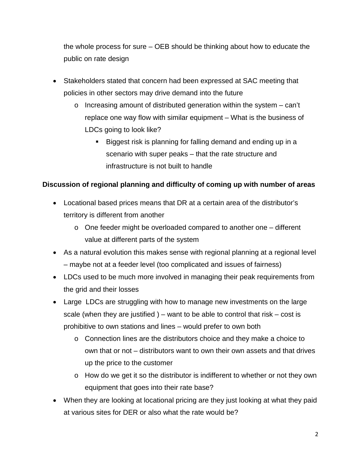the whole process for sure – OEB should be thinking about how to educate the public on rate design

- Stakeholders stated that concern had been expressed at SAC meeting that policies in other sectors may drive demand into the future
	- $\circ$  Increasing amount of distributed generation within the system can't replace one way flow with similar equipment – What is the business of LDCs going to look like?
		- Biggest risk is planning for falling demand and ending up in a scenario with super peaks – that the rate structure and infrastructure is not built to handle

## **Discussion of regional planning and difficulty of coming up with number of areas**

- Locational based prices means that DR at a certain area of the distributor's territory is different from another
	- $\circ$  One feeder might be overloaded compared to another one different value at different parts of the system
- As a natural evolution this makes sense with regional planning at a regional level – maybe not at a feeder level (too complicated and issues of fairness)
- LDCs used to be much more involved in managing their peak requirements from the grid and their losses
- Large LDCs are struggling with how to manage new investments on the large scale (when they are justified ) – want to be able to control that risk – cost is prohibitive to own stations and lines – would prefer to own both
	- o Connection lines are the distributors choice and they make a choice to own that or not – distributors want to own their own assets and that drives up the price to the customer
	- o How do we get it so the distributor is indifferent to whether or not they own equipment that goes into their rate base?
- When they are looking at locational pricing are they just looking at what they paid at various sites for DER or also what the rate would be?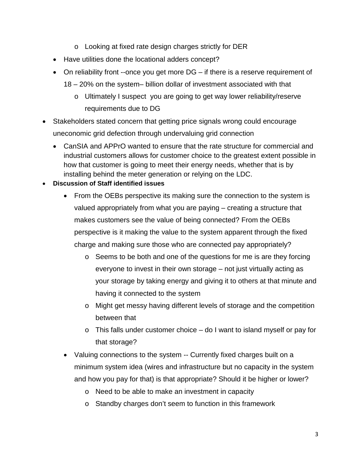- o Looking at fixed rate design charges strictly for DER
- Have utilities done the locational adders concept?
- On reliability front --once you get more DG if there is a reserve requirement of 18 – 20% on the system– billion dollar of investment associated with that
	- o Ultimately I suspect you are going to get way lower reliability/reserve requirements due to DG
- Stakeholders stated concern that getting price signals wrong could encourage uneconomic grid defection through undervaluing grid connection
	- CanSIA and APPrO wanted to ensure that the rate structure for commercial and industrial customers allows for customer choice to the greatest extent possible in how that customer is going to meet their energy needs, whether that is by installing behind the meter generation or relying on the LDC.
- **Discussion of Staff identified issues**
	- From the OEBs perspective its making sure the connection to the system is valued appropriately from what you are paying – creating a structure that makes customers see the value of being connected? From the OEBs perspective is it making the value to the system apparent through the fixed charge and making sure those who are connected pay appropriately?
		- o Seems to be both and one of the questions for me is are they forcing everyone to invest in their own storage – not just virtually acting as your storage by taking energy and giving it to others at that minute and having it connected to the system
		- o Might get messy having different levels of storage and the competition between that
		- o This falls under customer choice do I want to island myself or pay for that storage?
	- Valuing connections to the system -- Currently fixed charges built on a minimum system idea (wires and infrastructure but no capacity in the system and how you pay for that) is that appropriate? Should it be higher or lower?
		- o Need to be able to make an investment in capacity
		- o Standby charges don't seem to function in this framework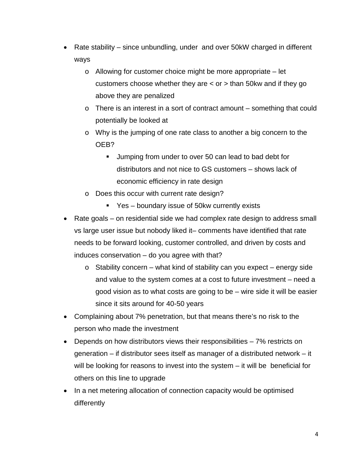- Rate stability since unbundling, under and over 50kW charged in different ways
	- o Allowing for customer choice might be more appropriate let customers choose whether they are < or > than 50kw and if they go above they are penalized
	- $\circ$  There is an interest in a sort of contract amount something that could potentially be looked at
	- o Why is the jumping of one rate class to another a big concern to the OEB?
		- **Jumping from under to over 50 can lead to bad debt for** distributors and not nice to GS customers – shows lack of economic efficiency in rate design
	- o Does this occur with current rate design?
		- Yes boundary issue of 50kw currently exists
- Rate goals on residential side we had complex rate design to address small vs large user issue but nobody liked it– comments have identified that rate needs to be forward looking, customer controlled, and driven by costs and induces conservation – do you agree with that?
	- o Stability concern what kind of stability can you expect energy side and value to the system comes at a cost to future investment – need a good vision as to what costs are going to be – wire side it will be easier since it sits around for 40-50 years
- Complaining about 7% penetration, but that means there's no risk to the person who made the investment
- Depends on how distributors views their responsibilities 7% restricts on generation – if distributor sees itself as manager of a distributed network – it will be looking for reasons to invest into the system – it will be beneficial for others on this line to upgrade
- In a net metering allocation of connection capacity would be optimised differently